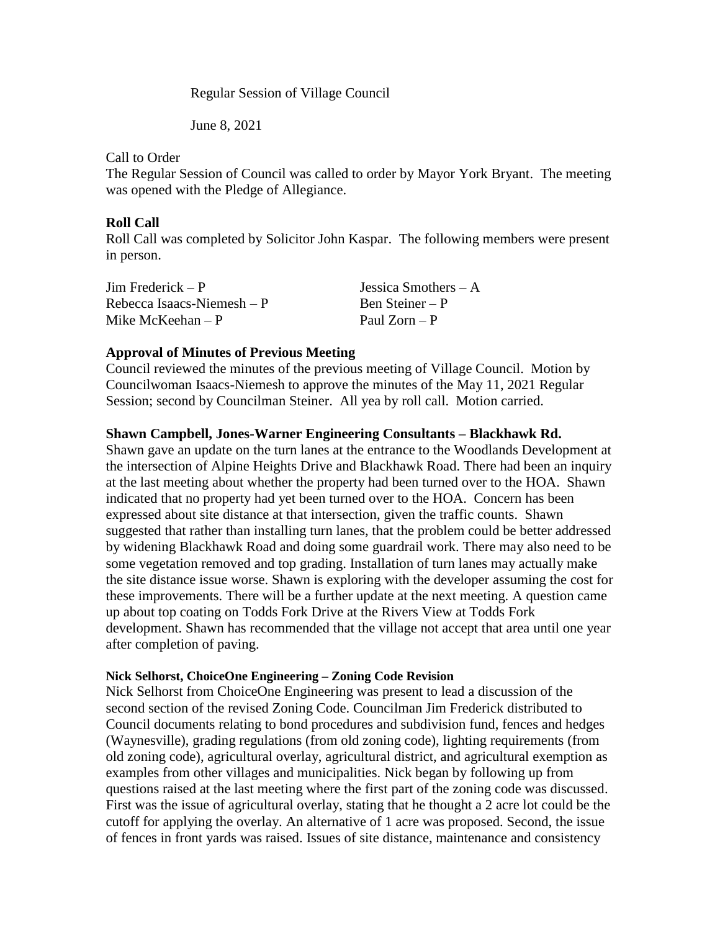Regular Session of Village Council

June 8, 2021

Call to Order

The Regular Session of Council was called to order by Mayor York Bryant. The meeting was opened with the Pledge of Allegiance.

## **Roll Call**

Roll Call was completed by Solicitor John Kaspar. The following members were present in person.

| $\text{Jim Frederick} - \text{P}$ | Jessica Smothers $-A$ |
|-----------------------------------|-----------------------|
| Rebecca Isaacs-Niemesh $-P$       | Ben Steiner – P       |
| Mike McKeehan $-P$                | Paul $Zorn - P$       |

# **Approval of Minutes of Previous Meeting**

Council reviewed the minutes of the previous meeting of Village Council. Motion by Councilwoman Isaacs-Niemesh to approve the minutes of the May 11, 2021 Regular Session; second by Councilman Steiner. All yea by roll call. Motion carried.

### **Shawn Campbell, Jones-Warner Engineering Consultants – Blackhawk Rd.**

Shawn gave an update on the turn lanes at the entrance to the Woodlands Development at the intersection of Alpine Heights Drive and Blackhawk Road. There had been an inquiry at the last meeting about whether the property had been turned over to the HOA. Shawn indicated that no property had yet been turned over to the HOA. Concern has been expressed about site distance at that intersection, given the traffic counts. Shawn suggested that rather than installing turn lanes, that the problem could be better addressed by widening Blackhawk Road and doing some guardrail work. There may also need to be some vegetation removed and top grading. Installation of turn lanes may actually make the site distance issue worse. Shawn is exploring with the developer assuming the cost for these improvements. There will be a further update at the next meeting. A question came up about top coating on Todds Fork Drive at the Rivers View at Todds Fork development. Shawn has recommended that the village not accept that area until one year after completion of paving.

### **Nick Selhorst, ChoiceOne Engineering – Zoning Code Revision**

Nick Selhorst from ChoiceOne Engineering was present to lead a discussion of the second section of the revised Zoning Code. Councilman Jim Frederick distributed to Council documents relating to bond procedures and subdivision fund, fences and hedges (Waynesville), grading regulations (from old zoning code), lighting requirements (from old zoning code), agricultural overlay, agricultural district, and agricultural exemption as examples from other villages and municipalities. Nick began by following up from questions raised at the last meeting where the first part of the zoning code was discussed. First was the issue of agricultural overlay, stating that he thought a 2 acre lot could be the cutoff for applying the overlay. An alternative of 1 acre was proposed. Second, the issue of fences in front yards was raised. Issues of site distance, maintenance and consistency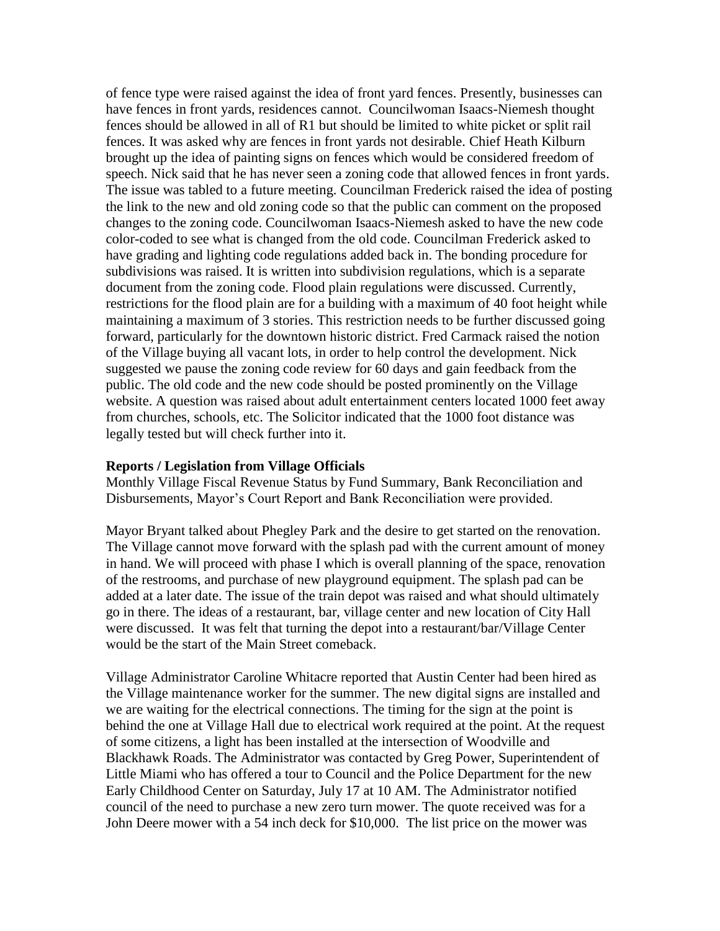of fence type were raised against the idea of front yard fences. Presently, businesses can have fences in front yards, residences cannot. Councilwoman Isaacs-Niemesh thought fences should be allowed in all of R1 but should be limited to white picket or split rail fences. It was asked why are fences in front yards not desirable. Chief Heath Kilburn brought up the idea of painting signs on fences which would be considered freedom of speech. Nick said that he has never seen a zoning code that allowed fences in front yards. The issue was tabled to a future meeting. Councilman Frederick raised the idea of posting the link to the new and old zoning code so that the public can comment on the proposed changes to the zoning code. Councilwoman Isaacs-Niemesh asked to have the new code color-coded to see what is changed from the old code. Councilman Frederick asked to have grading and lighting code regulations added back in. The bonding procedure for subdivisions was raised. It is written into subdivision regulations, which is a separate document from the zoning code. Flood plain regulations were discussed. Currently, restrictions for the flood plain are for a building with a maximum of 40 foot height while maintaining a maximum of 3 stories. This restriction needs to be further discussed going forward, particularly for the downtown historic district. Fred Carmack raised the notion of the Village buying all vacant lots, in order to help control the development. Nick suggested we pause the zoning code review for 60 days and gain feedback from the public. The old code and the new code should be posted prominently on the Village website. A question was raised about adult entertainment centers located 1000 feet away from churches, schools, etc. The Solicitor indicated that the 1000 foot distance was legally tested but will check further into it.

#### **Reports / Legislation from Village Officials**

Monthly Village Fiscal Revenue Status by Fund Summary, Bank Reconciliation and Disbursements, Mayor's Court Report and Bank Reconciliation were provided.

Mayor Bryant talked about Phegley Park and the desire to get started on the renovation. The Village cannot move forward with the splash pad with the current amount of money in hand. We will proceed with phase I which is overall planning of the space, renovation of the restrooms, and purchase of new playground equipment. The splash pad can be added at a later date. The issue of the train depot was raised and what should ultimately go in there. The ideas of a restaurant, bar, village center and new location of City Hall were discussed. It was felt that turning the depot into a restaurant/bar/Village Center would be the start of the Main Street comeback.

Village Administrator Caroline Whitacre reported that Austin Center had been hired as the Village maintenance worker for the summer. The new digital signs are installed and we are waiting for the electrical connections. The timing for the sign at the point is behind the one at Village Hall due to electrical work required at the point. At the request of some citizens, a light has been installed at the intersection of Woodville and Blackhawk Roads. The Administrator was contacted by Greg Power, Superintendent of Little Miami who has offered a tour to Council and the Police Department for the new Early Childhood Center on Saturday, July 17 at 10 AM. The Administrator notified council of the need to purchase a new zero turn mower. The quote received was for a John Deere mower with a 54 inch deck for \$10,000. The list price on the mower was